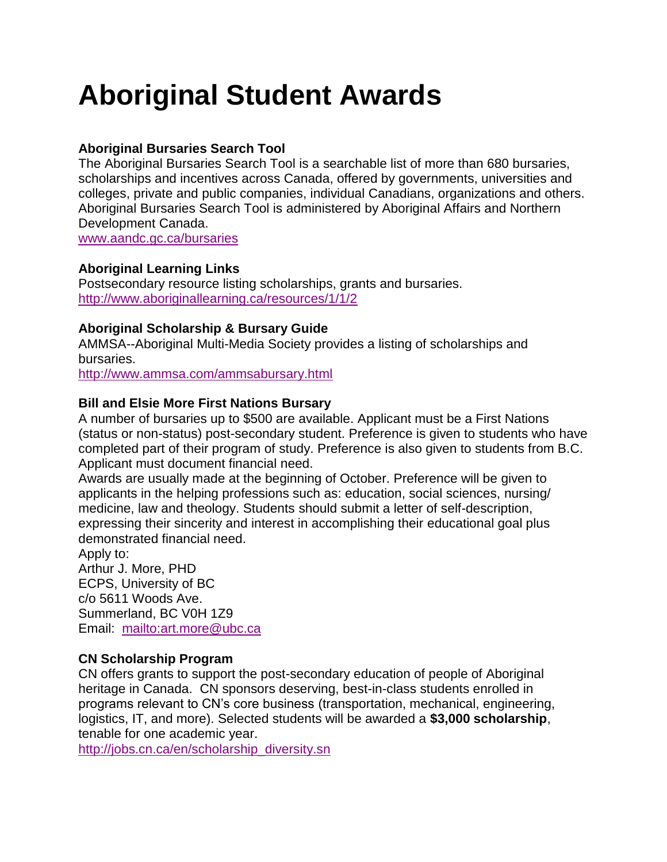# **Aboriginal Student Awards**

# **Aboriginal Bursaries Search Tool**

The Aboriginal Bursaries Search Tool is a searchable list of more than 680 bursaries, scholarships and incentives across Canada, offered by governments, universities and colleges, private and public companies, individual Canadians, organizations and others. Aboriginal Bursaries Search Tool is administered by Aboriginal Affairs and Northern Development Canada.

[www.aandc.gc.ca/bursaries](http://www.aandc.gc.ca/bursaries)

# **Aboriginal Learning Links**

Postsecondary resource listing scholarships, grants and bursaries. <http://www.aboriginallearning.ca/resources/1/1/2>

## **Aboriginal Scholarship & Bursary Guide**

AMMSA--Aboriginal Multi-Media Society provides a listing of scholarships and bursaries.

<http://www.ammsa.com/ammsabursary.html>

# **Bill and Elsie More First Nations Bursary**

A number of bursaries up to \$500 are available. Applicant must be a First Nations (status or non-status) post-secondary student. Preference is given to students who have completed part of their program of study. Preference is also given to students from B.C. Applicant must document financial need.

Awards are usually made at the beginning of October. Preference will be given to applicants in the helping professions such as: education, social sciences, nursing/ medicine, law and theology. Students should submit a letter of self-description, expressing their sincerity and interest in accomplishing their educational goal plus demonstrated financial need.

Apply to: Arthur J. More, PHD ECPS, University of BC c/o 5611 Woods Ave. Summerland, BC V0H 1Z9 Email: <mailto:art.more@ubc.ca>

# **CN Scholarship Program**

CN offers grants to support the post-secondary education of people of Aboriginal heritage in Canada. CN sponsors deserving, best-in-class students enrolled in programs relevant to CN's core business (transportation, mechanical, engineering, logistics, IT, and more). Selected students will be awarded a **\$3,000 scholarship**, tenable for one academic year.

[http://jobs.cn.ca/en/scholarship\\_diversity.sn](http://jobs.cn.ca/en/scholarship_diversity.sn)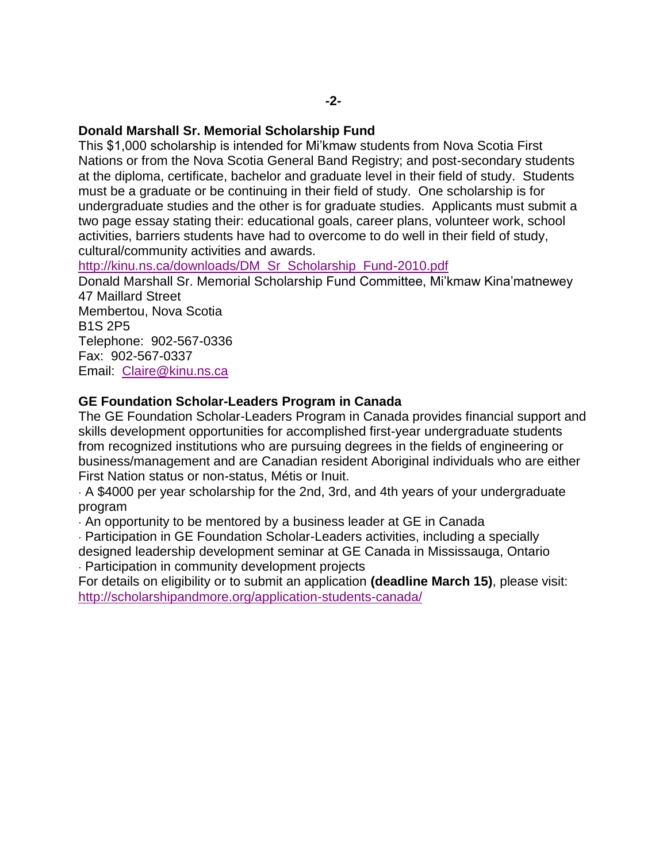#### **Donald Marshall Sr. Memorial Scholarship Fund**

This \$1,000 scholarship is intended for Mi'kmaw students from Nova Scotia First Nations or from the Nova Scotia General Band Registry; and post-secondary students at the diploma, certificate, bachelor and graduate level in their field of study. Students must be a graduate or be continuing in their field of study. One scholarship is for undergraduate studies and the other is for graduate studies. Applicants must submit a two page essay stating their: educational goals, career plans, volunteer work, school activities, barriers students have had to overcome to do well in their field of study, cultural/community activities and awards.

[http://kinu.ns.ca/downloads/DM\\_Sr\\_Scholarship\\_Fund-2010.pdf](http://kinu.ns.ca/downloads/DM_Sr_Scholarship_Fund-2010.pdf)

Donald Marshall Sr. Memorial Scholarship Fund Committee, Mi'kmaw Kina'matnewey 47 Maillard Street Membertou, Nova Scotia B1S 2P5 Telephone: 902-567-0336 Fax: 902-567-0337

Email: [Claire@kinu.ns.ca](mailto:Claire@kinu.ns.ca)

#### **GE Foundation Scholar-Leaders Program in Canada**

The GE Foundation Scholar-Leaders Program in Canada provides financial support and skills development opportunities for accomplished first-year undergraduate students from recognized institutions who are pursuing degrees in the fields of engineering or business/management and are Canadian resident Aboriginal individuals who are either First Nation status or non-status, Métis or Inuit.

· A \$4000 per year scholarship for the 2nd, 3rd, and 4th years of your undergraduate program

· An opportunity to be mentored by a business leader at GE in Canada

· Participation in GE Foundation Scholar-Leaders activities, including a specially designed leadership development seminar at GE Canada in Mississauga, Ontario

· Participation in community development projects

For details on eligibility or to submit an application **(deadline March 15)**, please visit: <http://scholarshipandmore.org/application-students-canada/>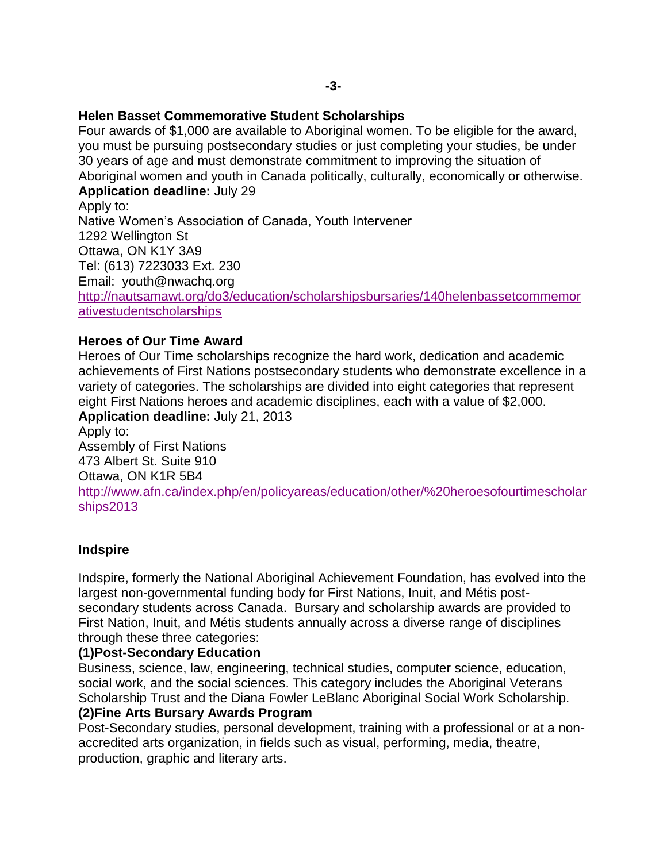#### **Helen Basset Commemorative Student Scholarships**

Four awards of \$1,000 are available to Aboriginal women. To be eligible for the award, you must be pursuing postsecondary studies or just completing your studies, be under 30 years of age and must demonstrate commitment to improving the situation of Aboriginal women and youth in Canada politically, culturally, economically or otherwise. **Application deadline:** July 29

Apply to: Native Women's Association of Canada, Youth Intervener 1292 Wellington St Ottawa, ON K1Y 3A9 Tel: (613) 7223033 Ext. 230 Email: youth@nwachq.org [http://nautsamawt.org/do3/education/scholarshipsbursaries/140helenbassetcommemor](http://nautsamawt.org/do3/education/scholarshipsbursaries/140helenbassetcommemorativestudentscholarships) [ativestudentscholarships](http://nautsamawt.org/do3/education/scholarshipsbursaries/140helenbassetcommemorativestudentscholarships) 

#### **Heroes of Our Time Award**

Heroes of Our Time scholarships recognize the hard work, dedication and academic achievements of First Nations postsecondary students who demonstrate excellence in a variety of categories. The scholarships are divided into eight categories that represent eight First Nations heroes and academic disciplines, each with a value of \$2,000. **Application deadline:** July 21, 2013

Apply to: Assembly of First Nations 473 Albert St. Suite 910 Ottawa, ON K1R 5B4 [http://www.afn.ca/index.php/en/policyareas/education/other/%20heroesofourtimescholar](http://www.afn.ca/index.php/en/policyareas/education/other/%20heroesofourtimescholarships2013) [ships2013](http://www.afn.ca/index.php/en/policyareas/education/other/%20heroesofourtimescholarships2013)

#### **Indspire**

Indspire, formerly the National Aboriginal Achievement Foundation, has evolved into the largest non-governmental funding body for First Nations, Inuit, and Métis postsecondary students across Canada. Bursary and scholarship awards are provided to First Nation, Inuit, and Métis students annually across a diverse range of disciplines through these three categories:

#### **(1)Post-Secondary Education**

Business, science, law, engineering, technical studies, computer science, education, social work, and the social sciences. This category includes the Aboriginal Veterans Scholarship Trust and the Diana Fowler LeBlanc Aboriginal Social Work Scholarship.

## **(2)Fine Arts Bursary Awards Program**

Post-Secondary studies, personal development, training with a professional or at a nonaccredited arts organization, in fields such as visual, performing, media, theatre, production, graphic and literary arts.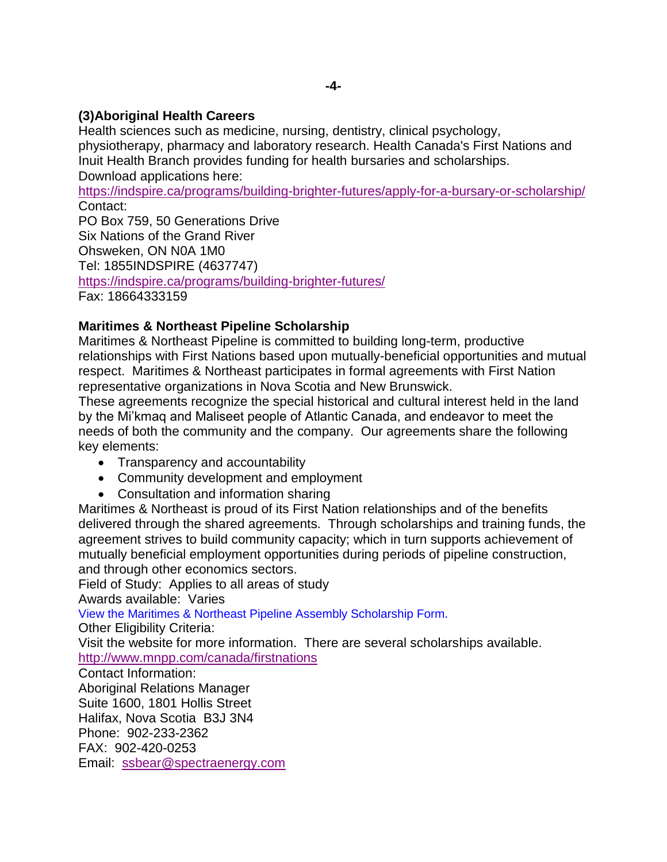## **(3)Aboriginal Health Careers**

Health sciences such as medicine, nursing, dentistry, clinical psychology, physiotherapy, pharmacy and laboratory research. Health Canada's First Nations and Inuit Health Branch provides funding for health bursaries and scholarships. Download applications here:

<https://indspire.ca/programs/building-brighter-futures/apply-for-a-bursary-or-scholarship/> Contact:

PO Box 759, 50 Generations Drive Six Nations of the Grand River Ohsweken, ON N0A 1M0 Tel: 1855INDSPIRE (4637747) <https://indspire.ca/programs/building-brighter-futures/> Fax: 18664333159

# **Maritimes & Northeast Pipeline Scholarship**

Maritimes & Northeast Pipeline is committed to building long-term, productive relationships with First Nations based upon mutually-beneficial opportunities and mutual respect. Maritimes & Northeast participates in formal agreements with First Nation representative organizations in Nova Scotia and New Brunswick.

These agreements recognize the special historical and cultural interest held in the land by the Mi'kmaq and Maliseet people of Atlantic Canada, and endeavor to meet the needs of both the community and the company. Our agreements share the following key elements:

- Transparency and accountability
- Community development and employment
- Consultation and information sharing

Maritimes & Northeast is proud of its First Nation relationships and of the benefits delivered through the shared agreements. Through scholarships and training funds, the agreement strives to build community capacity; which in turn supports achievement of mutually beneficial employment opportunities during periods of pipeline construction, and through other economics sectors.

Field of Study: Applies to all areas of study

Awards available: Varies

[View the Maritimes & Northeast Pipeline Assembly Scholarship Form.](http://www.mnpp.com/canada/sites/default/files/u4/Application%20Form%202013.pdf)

Other Eligibility Criteria:

Visit the website for more information. There are several scholarships available. <http://www.mnpp.com/canada/firstnations>

Contact Information: Aboriginal Relations Manager Suite 1600, 1801 Hollis Street Halifax, Nova Scotia B3J 3N4 Phone: 902-233-2362 FAX: 902-420-0253 Email: [ssbear@spectraenergy.com](mailto:ssbear@spectraenergy.com)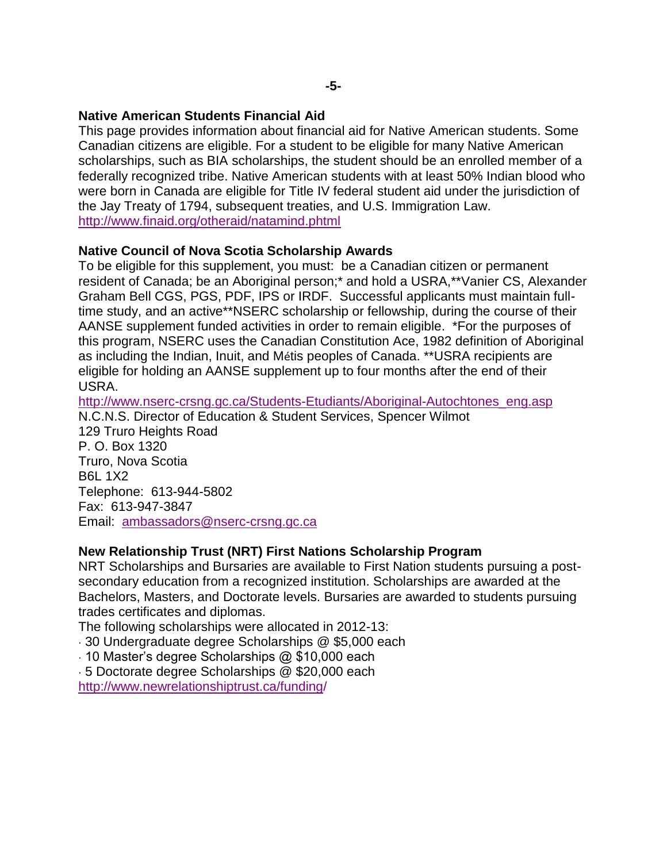## **Native American Students Financial Aid**

This page provides information about financial aid for Native American students. Some Canadian citizens are eligible. For a student to be eligible for many Native American scholarships, such as BIA scholarships, the student should be an enrolled member of a federally recognized tribe. Native American students with at least 50% Indian blood who were born in Canada are eligible for Title IV federal student aid under the jurisdiction of the Jay Treaty of 1794, subsequent treaties, and U.S. Immigration Law. <http://www.finaid.org/otheraid/natamind.phtml>

# **Native Council of Nova Scotia Scholarship Awards**

To be eligible for this supplement, you must: be a Canadian citizen or permanent resident of Canada; be an Aboriginal person;\* and hold a USRA,\*\*Vanier CS, Alexander Graham Bell CGS, PGS, PDF, IPS or IRDF. Successful applicants must maintain fulltime study, and an active\*\*NSERC scholarship or fellowship, during the course of their AANSE supplement funded activities in order to remain eligible. \*For the purposes of this program, NSERC uses the Canadian Constitution Ace, 1982 definition of Aboriginal as including the Indian, Inuit, and Métis peoples of Canada. \*\*USRA recipients are eligible for holding an AANSE supplement up to four months after the end of their USRA.

[http://www.nserc-crsng.gc.ca/Students-Etudiants/Aboriginal-Autochtones\\_eng.asp](http://www.nserc-crsng.gc.ca/Students-Etudiants/Aboriginal-Autochtones_eng.asp) N.C.N.S. Director of Education & Student Services, Spencer Wilmot 129 Truro Heights Road P. O. Box 1320 Truro, Nova Scotia B6L 1X2 Telephone: 613-944-5802 Fax: 613-947-3847 Email: [ambassadors@nserc-crsng.gc.ca](mailto:ambassadors@nserc-crsng.gc.ca)

# **New Relationship Trust (NRT) First Nations Scholarship Program**

NRT Scholarships and Bursaries are available to First Nation students pursuing a postsecondary education from a recognized institution. Scholarships are awarded at the Bachelors, Masters, and Doctorate levels. Bursaries are awarded to students pursuing trades certificates and diplomas.

The following scholarships were allocated in 2012-13:

· 30 Undergraduate degree Scholarships @ \$5,000 each

· 10 Master's degree Scholarships @ \$10,000 each

· 5 Doctorate degree Scholarships @ \$20,000 each

<http://www.newrelationshiptrust.ca/funding/>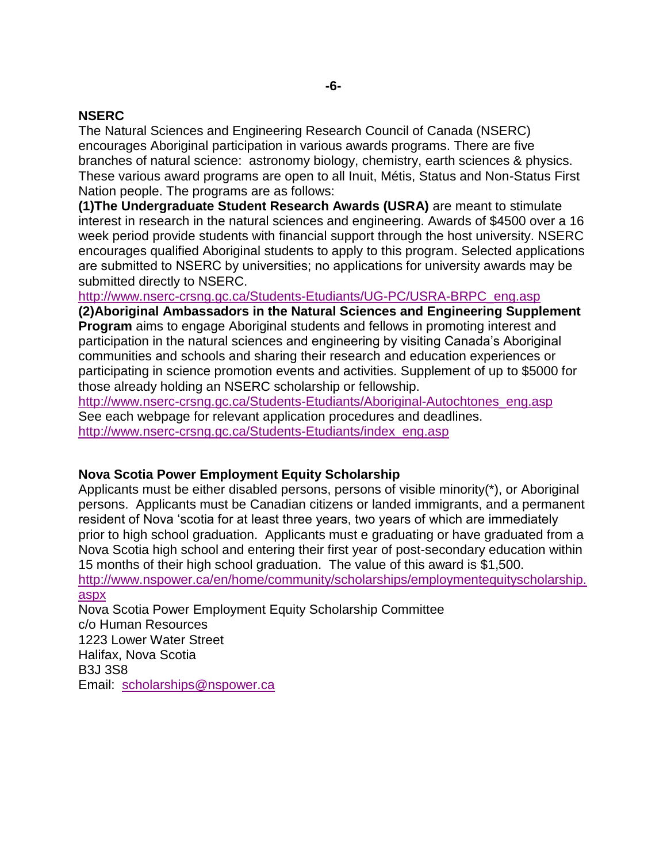## **NSERC**

The Natural Sciences and Engineering Research Council of Canada (NSERC) encourages Aboriginal participation in various awards programs. There are five branches of natural science: astronomy biology, chemistry, earth sciences & physics. These various award programs are open to all Inuit, Métis, Status and Non-Status First Nation people. The programs are as follows:

**(1)The Undergraduate Student Research Awards (USRA)** are meant to stimulate interest in research in the natural sciences and engineering. Awards of \$4500 over a 16 week period provide students with financial support through the host university. NSERC encourages qualified Aboriginal students to apply to this program. Selected applications are submitted to NSERC by universities; no applications for university awards may be submitted directly to NSERC.

[http://www.nserc-crsng.gc.ca/Students-Etudiants/UG-PC/USRA-BRPC\\_eng.asp](http://www.nserc-crsng.gc.ca/Students-Etudiants/UG-PC/USRA-BRPC_eng.asp)

**(2)Aboriginal Ambassadors in the Natural Sciences and Engineering Supplement Program** aims to engage Aboriginal students and fellows in promoting interest and participation in the natural sciences and engineering by visiting Canada's Aboriginal communities and schools and sharing their research and education experiences or participating in science promotion events and activities. Supplement of up to \$5000 for those already holding an NSERC scholarship or fellowship.

[http://www.nserc-crsng.gc.ca/Students-Etudiants/Aboriginal-Autochtones\\_eng.asp](http://www.nserc-crsng.gc.ca/Students-Etudiants/Aboriginal-Autochtones_eng.asp) See each webpage for relevant application procedures and deadlines. [http://www.nserc-crsng.gc.ca/Students-Etudiants/index\\_eng.asp](http://www.nserc-crsng.gc.ca/Students-Etudiants/index_eng.asp)

# **Nova Scotia Power Employment Equity Scholarship**

Applicants must be either disabled persons, persons of visible minority(\*), or Aboriginal persons. Applicants must be Canadian citizens or landed immigrants, and a permanent resident of Nova 'scotia for at least three years, two years of which are immediately prior to high school graduation. Applicants must e graduating or have graduated from a Nova Scotia high school and entering their first year of post-secondary education within 15 months of their high school graduation. The value of this award is \$1,500.

[http://www.nspower.ca/en/home/community/scholarships/employmentequityscholarship.](http://www.nspower.ca/en/home/community/scholarships/employmentequityscholarship.aspx) [aspx](http://www.nspower.ca/en/home/community/scholarships/employmentequityscholarship.aspx)

Nova Scotia Power Employment Equity Scholarship Committee c/o Human Resources 1223 Lower Water Street Halifax, Nova Scotia B3J 3S8 Email: [scholarships@nspower.ca](mailto:scholarships@nspower.ca)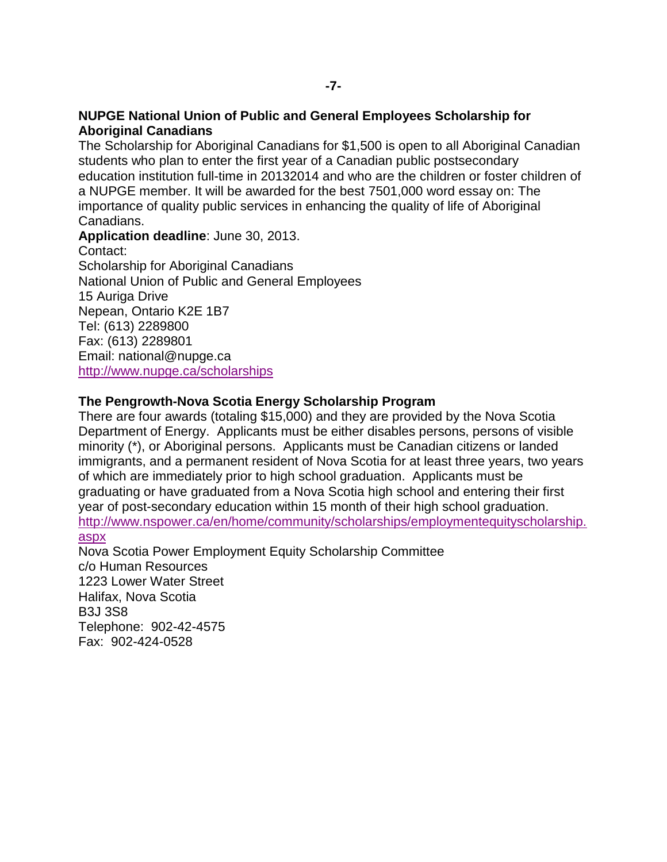#### **NUPGE National Union of Public and General Employees Scholarship for Aboriginal Canadians**

The Scholarship for Aboriginal Canadians for \$1,500 is open to all Aboriginal Canadian students who plan to enter the first year of a Canadian public postsecondary education institution full-time in 20132014 and who are the children or foster children of a NUPGE member. It will be awarded for the best 7501,000 word essay on: The importance of quality public services in enhancing the quality of life of Aboriginal Canadians.

**Application deadline**: June 30, 2013. Contact: Scholarship for Aboriginal Canadians National Union of Public and General Employees 15 Auriga Drive Nepean, Ontario K2E 1B7 Tel: (613) 2289800 Fax: (613) 2289801 Email: national@nupge.ca <http://www.nupge.ca/scholarships>

#### **The Pengrowth-Nova Scotia Energy Scholarship Program**

There are four awards (totaling \$15,000) and they are provided by the Nova Scotia Department of Energy. Applicants must be either disables persons, persons of visible minority (\*), or Aboriginal persons. Applicants must be Canadian citizens or landed immigrants, and a permanent resident of Nova Scotia for at least three years, two years of which are immediately prior to high school graduation. Applicants must be graduating or have graduated from a Nova Scotia high school and entering their first year of post-secondary education within 15 month of their high school graduation. [http://www.nspower.ca/en/home/community/scholarships/employmentequityscholarship.](http://www.nspower.ca/en/home/community/scholarships/employmentequityscholarship.aspx) [aspx](http://www.nspower.ca/en/home/community/scholarships/employmentequityscholarship.aspx)

Nova Scotia Power Employment Equity Scholarship Committee c/o Human Resources 1223 Lower Water Street Halifax, Nova Scotia B3J 3S8 Telephone: 902-42-4575 Fax: 902-424-0528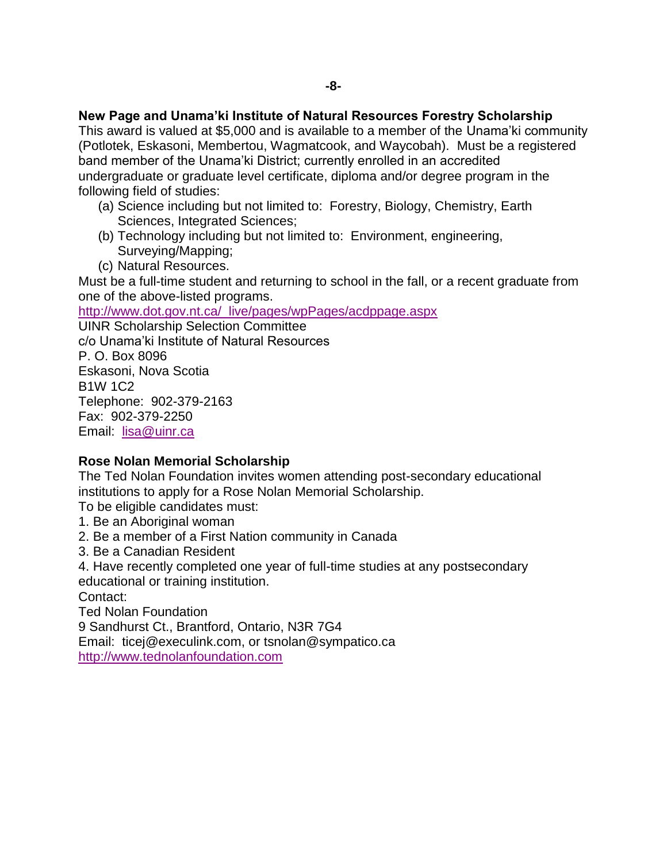#### **New Page and Unama'ki Institute of Natural Resources Forestry Scholarship**

This award is valued at \$5,000 and is available to a member of the Unama'ki community (Potlotek, Eskasoni, Membertou, Wagmatcook, and Waycobah). Must be a registered band member of the Unama'ki District; currently enrolled in an accredited undergraduate or graduate level certificate, diploma and/or degree program in the following field of studies:

- (a) Science including but not limited to: Forestry, Biology, Chemistry, Earth Sciences, Integrated Sciences;
- (b) Technology including but not limited to: Environment, engineering, Surveying/Mapping;
- (c) Natural Resources.

Must be a full-time student and returning to school in the fall, or a recent graduate from one of the above-listed programs.

[http://www.dot.gov.nt.ca/\\_live/pages/wpPages/acdppage.aspx](http://www.dot.gov.nt.ca/_live/pages/wpPages/acdppage.aspx)

UINR Scholarship Selection Committee c/o Unama'ki Institute of Natural Resources P. O. Box 8096 Eskasoni, Nova Scotia B1W 1C2 Telephone: 902-379-2163 Fax: 902-379-2250 Email: [lisa@uinr.ca](mailto:lisa@uinr.ca)

#### **Rose Nolan Memorial Scholarship**

The Ted Nolan Foundation invites women attending post-secondary educational institutions to apply for a Rose Nolan Memorial Scholarship.

To be eligible candidates must:

- 1. Be an Aboriginal woman
- 2. Be a member of a First Nation community in Canada
- 3. Be a Canadian Resident
- 4. Have recently completed one year of full-time studies at any postsecondary educational or training institution.

Contact:

Ted Nolan Foundation

9 Sandhurst Ct., Brantford, Ontario, N3R 7G4

Email: ticej@execulink.com, or tsnolan@sympatico.ca [http://www.tednolanfoundation.com](http://www.tednolanfoundation.com/)